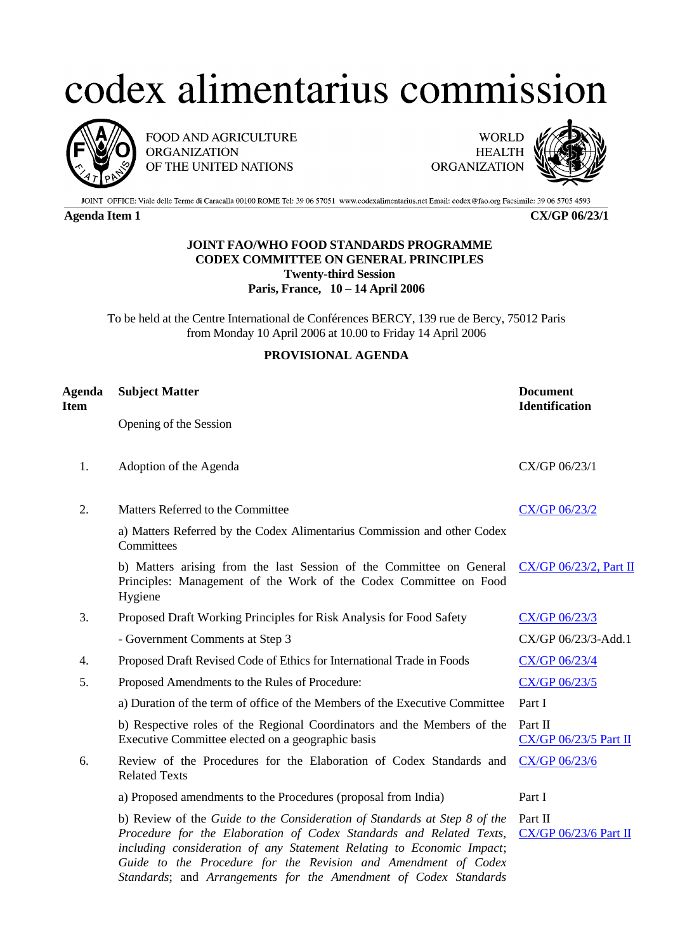## codex alimentarius commission



FOOD AND AGRICULTURE **ORGANIZATION** OF THE UNITED NATIONS

**WORLD HEALTH ORGANIZATION** 



JOINT OFFICE: Viale delle Terme di Caracalla 00100 ROME Tel: 39 06 57051 www.codexalimentarius.net Email: codex@fao.org Facsimile: 39 06 5705 4593

**Agenda Item 1 CX/GP 06/23/1**

## **JOINT FAO/WHO FOOD STANDARDS PROGRAMME CODEX COMMITTEE ON GENERAL PRINCIPLES Twenty-third Session Paris, France, 10 – 14 April 2006**

To be held at the Centre International de Conférences BERCY, 139 rue de Bercy, 75012 Paris from Monday 10 April 2006 at 10.00 to Friday 14 April 2006

## **PROVISIONAL AGENDA**

| Agenda<br>Item | <b>Subject Matter</b>                                                                                                                                                                                                                                                                                                                                           | <b>Document</b><br><b>Identification</b> |
|----------------|-----------------------------------------------------------------------------------------------------------------------------------------------------------------------------------------------------------------------------------------------------------------------------------------------------------------------------------------------------------------|------------------------------------------|
|                | Opening of the Session                                                                                                                                                                                                                                                                                                                                          |                                          |
| 1.             | Adoption of the Agenda                                                                                                                                                                                                                                                                                                                                          | CX/GP 06/23/1                            |
| 2.             | Matters Referred to the Committee                                                                                                                                                                                                                                                                                                                               | $CX/GP$ 06/23/2                          |
|                | a) Matters Referred by the Codex Alimentarius Commission and other Codex<br>Committees                                                                                                                                                                                                                                                                          |                                          |
|                | b) Matters arising from the last Session of the Committee on General<br>Principles: Management of the Work of the Codex Committee on Food<br>Hygiene                                                                                                                                                                                                            | $CX/GP 06/23/2$ , Part II                |
| 3.             | Proposed Draft Working Principles for Risk Analysis for Food Safety                                                                                                                                                                                                                                                                                             | CX/GP 06/23/3                            |
|                | - Government Comments at Step 3                                                                                                                                                                                                                                                                                                                                 | CX/GP 06/23/3-Add.1                      |
| 4.             | Proposed Draft Revised Code of Ethics for International Trade in Foods                                                                                                                                                                                                                                                                                          | CX/GP 06/23/4                            |
| 5.             | Proposed Amendments to the Rules of Procedure:                                                                                                                                                                                                                                                                                                                  | CX/GP 06/23/5                            |
|                | a) Duration of the term of office of the Members of the Executive Committee                                                                                                                                                                                                                                                                                     | Part I                                   |
|                | b) Respective roles of the Regional Coordinators and the Members of the<br>Executive Committee elected on a geographic basis                                                                                                                                                                                                                                    | Part II<br>$CX/GP$ 06/23/5 Part II       |
| 6.             | Review of the Procedures for the Elaboration of Codex Standards and<br><b>Related Texts</b>                                                                                                                                                                                                                                                                     | CX/GP 06/23/6                            |
|                | a) Proposed amendments to the Procedures (proposal from India)                                                                                                                                                                                                                                                                                                  | Part I                                   |
|                | b) Review of the Guide to the Consideration of Standards at Step 8 of the<br>Procedure for the Elaboration of Codex Standards and Related Texts,<br>including consideration of any Statement Relating to Economic Impact;<br>Guide to the Procedure for the Revision and Amendment of Codex<br>Standards; and Arrangements for the Amendment of Codex Standards | Part II<br><b>CX/GP 06/23/6 Part II</b>  |